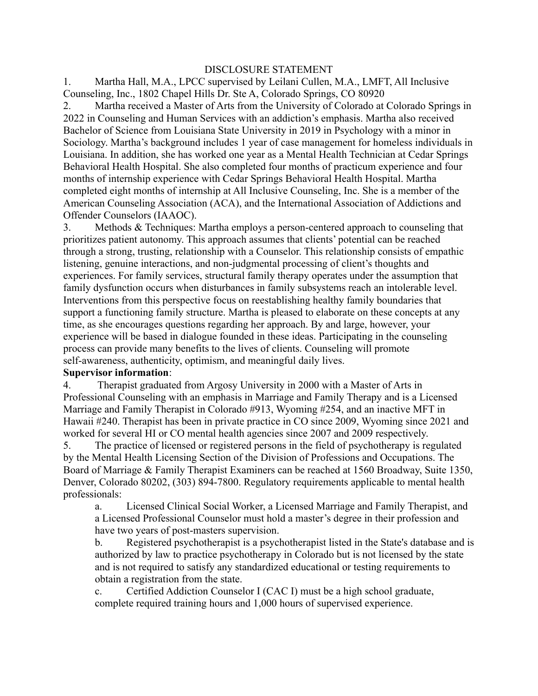## DISCLOSURE STATEMENT

1. Martha Hall, M.A., LPCC supervised by Leilani Cullen, M.A., LMFT, All Inclusive Counseling, Inc., 1802 Chapel Hills Dr. Ste A, Colorado Springs, CO 80920

2. Martha received a Master of Arts from the University of Colorado at Colorado Springs in 2022 in Counseling and Human Services with an addiction's emphasis. Martha also received Bachelor of Science from Louisiana State University in 2019 in Psychology with a minor in Sociology. Martha's background includes 1 year of case management for homeless individuals in Louisiana. In addition, she has worked one year as a Mental Health Technician at Cedar Springs Behavioral Health Hospital. She also completed four months of practicum experience and four months of internship experience with Cedar Springs Behavioral Health Hospital. Martha completed eight months of internship at All Inclusive Counseling, Inc. She is a member of the American Counseling Association (ACA), and the International Association of Addictions and Offender Counselors (IAAOC).

3. Methods & Techniques: Martha employs a person-centered approach to counseling that prioritizes patient autonomy. This approach assumes that clients' potential can be reached through a strong, trusting, relationship with a Counselor. This relationship consists of empathic listening, genuine interactions, and non-judgmental processing of client's thoughts and experiences. For family services, structural family therapy operates under the assumption that family dysfunction occurs when disturbances in family subsystems reach an intolerable level. Interventions from this perspective focus on reestablishing healthy family boundaries that support a functioning family structure. Martha is pleased to elaborate on these concepts at any time, as she encourages questions regarding her approach. By and large, however, your experience will be based in dialogue founded in these ideas. Participating in the counseling process can provide many benefits to the lives of clients. Counseling will promote self-awareness, authenticity, optimism, and meaningful daily lives.

## **Supervisor information**:

4. Therapist graduated from Argosy University in 2000 with a Master of Arts in Professional Counseling with an emphasis in Marriage and Family Therapy and is a Licensed Marriage and Family Therapist in Colorado #913, Wyoming #254, and an inactive MFT in Hawaii #240. Therapist has been in private practice in CO since 2009, Wyoming since 2021 and worked for several HI or CO mental health agencies since 2007 and 2009 respectively.

5. The practice of licensed or registered persons in the field of psychotherapy is regulated by the Mental Health Licensing Section of the Division of Professions and Occupations. The Board of Marriage & Family Therapist Examiners can be reached at 1560 Broadway, Suite 1350, Denver, Colorado 80202, (303) 894-7800. Regulatory requirements applicable to mental health professionals:

a. Licensed Clinical Social Worker, a Licensed Marriage and Family Therapist, and a Licensed Professional Counselor must hold a master's degree in their profession and have two years of post-masters supervision.

b. Registered psychotherapist is a psychotherapist listed in the State's database and is authorized by law to practice psychotherapy in Colorado but is not licensed by the state and is not required to satisfy any standardized educational or testing requirements to obtain a registration from the state.

c. Certified Addiction Counselor I (CAC I) must be a high school graduate, complete required training hours and 1,000 hours of supervised experience.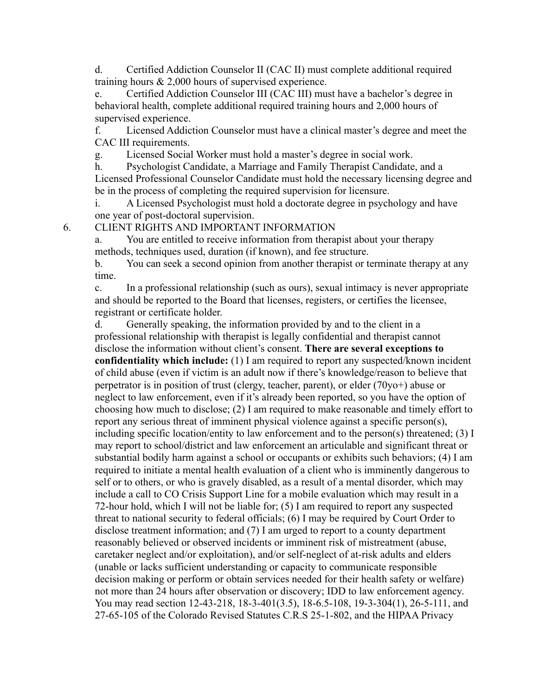d. Certified Addiction Counselor II (CAC II) must complete additional required training hours & 2,000 hours of supervised experience.

e. Certified Addiction Counselor III (CAC III) must have a bachelor's degree in behavioral health, complete additional required training hours and 2,000 hours of supervised experience.

f. Licensed Addiction Counselor must have a clinical master's degree and meet the CAC III requirements.

g. Licensed Social Worker must hold a master's degree in social work.

h. Psychologist Candidate, a Marriage and Family Therapist Candidate, and a Licensed Professional Counselor Candidate must hold the necessary licensing degree and be in the process of completing the required supervision for licensure.

i. A Licensed Psychologist must hold a doctorate degree in psychology and have one year of post-doctoral supervision.

6. CLIENT RIGHTS AND IMPORTANT INFORMATION

a. You are entitled to receive information from therapist about your therapy methods, techniques used, duration (if known), and fee structure.

b. You can seek a second opinion from another therapist or terminate therapy at any time.

c. In a professional relationship (such as ours), sexual intimacy is never appropriate and should be reported to the Board that licenses, registers, or certifies the licensee, registrant or certificate holder.

d. Generally speaking, the information provided by and to the client in a professional relationship with therapist is legally confidential and therapist cannot disclose the information without client's consent. **There are several exceptions to confidentiality which include:** (1) I am required to report any suspected/known incident of child abuse (even if victim is an adult now if there's knowledge/reason to believe that perpetrator is in position of trust (clergy, teacher, parent), or elder (70yo+) abuse or neglect to law enforcement, even if it's already been reported, so you have the option of choosing how much to disclose; (2) I am required to make reasonable and timely effort to report any serious threat of imminent physical violence against a specific person(s), including specific location/entity to law enforcement and to the person(s) threatened; (3) I may report to school/district and law enforcement an articulable and significant threat or substantial bodily harm against a school or occupants or exhibits such behaviors; (4) I am required to initiate a mental health evaluation of a client who is imminently dangerous to self or to others, or who is gravely disabled, as a result of a mental disorder, which may include a call to CO Crisis Support Line for a mobile evaluation which may result in a 72-hour hold, which I will not be liable for; (5) I am required to report any suspected threat to national security to federal officials; (6) I may be required by Court Order to disclose treatment information; and (7) I am urged to report to a county department reasonably believed or observed incidents or imminent risk of mistreatment (abuse, caretaker neglect and/or exploitation), and/or self-neglect of at-risk adults and elders (unable or lacks sufficient understanding or capacity to communicate responsible decision making or perform or obtain services needed for their health safety or welfare) not more than 24 hours after observation or discovery; IDD to law enforcement agency. You may read section 12-43-218, 18-3-401(3.5), 18-6.5-108, 19-3-304(1), 26-5-111, and 27-65-105 of the Colorado Revised Statutes C.R.S 25-1-802, and the HIPAA Privacy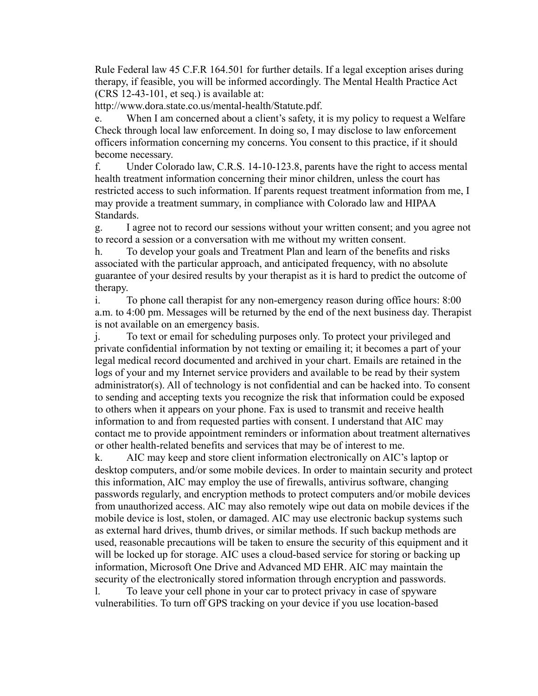Rule Federal law 45 C.F.R 164.501 for further details. If a legal exception arises during therapy, if feasible, you will be informed accordingly. The Mental Health Practice Act (CRS 12-43-101, et seq.) is available at:

http://www.dora.state.co.us/mental-health/Statute.pdf.

e. When I am concerned about a client's safety, it is my policy to request a Welfare Check through local law enforcement. In doing so, I may disclose to law enforcement officers information concerning my concerns. You consent to this practice, if it should become necessary.

f. Under Colorado law, C.R.S. 14-10-123.8, parents have the right to access mental health treatment information concerning their minor children, unless the court has restricted access to such information. If parents request treatment information from me, I may provide a treatment summary, in compliance with Colorado law and HIPAA Standards.

g. I agree not to record our sessions without your written consent; and you agree not to record a session or a conversation with me without my written consent.

h. To develop your goals and Treatment Plan and learn of the benefits and risks associated with the particular approach, and anticipated frequency, with no absolute guarantee of your desired results by your therapist as it is hard to predict the outcome of therapy.

i. To phone call therapist for any non-emergency reason during office hours: 8:00 a.m. to 4:00 pm. Messages will be returned by the end of the next business day. Therapist is not available on an emergency basis.

j. To text or email for scheduling purposes only. To protect your privileged and private confidential information by not texting or emailing it; it becomes a part of your legal medical record documented and archived in your chart. Emails are retained in the logs of your and my Internet service providers and available to be read by their system administrator(s). All of technology is not confidential and can be hacked into. To consent to sending and accepting texts you recognize the risk that information could be exposed to others when it appears on your phone. Fax is used to transmit and receive health information to and from requested parties with consent. I understand that AIC may contact me to provide appointment reminders or information about treatment alternatives or other health-related benefits and services that may be of interest to me.

k. AIC may keep and store client information electronically on AIC's laptop or desktop computers, and/or some mobile devices. In order to maintain security and protect this information, AIC may employ the use of firewalls, antivirus software, changing passwords regularly, and encryption methods to protect computers and/or mobile devices from unauthorized access. AIC may also remotely wipe out data on mobile devices if the mobile device is lost, stolen, or damaged. AIC may use electronic backup systems such as external hard drives, thumb drives, or similar methods. If such backup methods are used, reasonable precautions will be taken to ensure the security of this equipment and it will be locked up for storage. AIC uses a cloud-based service for storing or backing up information, Microsoft One Drive and Advanced MD EHR. AIC may maintain the security of the electronically stored information through encryption and passwords.

l. To leave your cell phone in your car to protect privacy in case of spyware vulnerabilities. To turn off GPS tracking on your device if you use location-based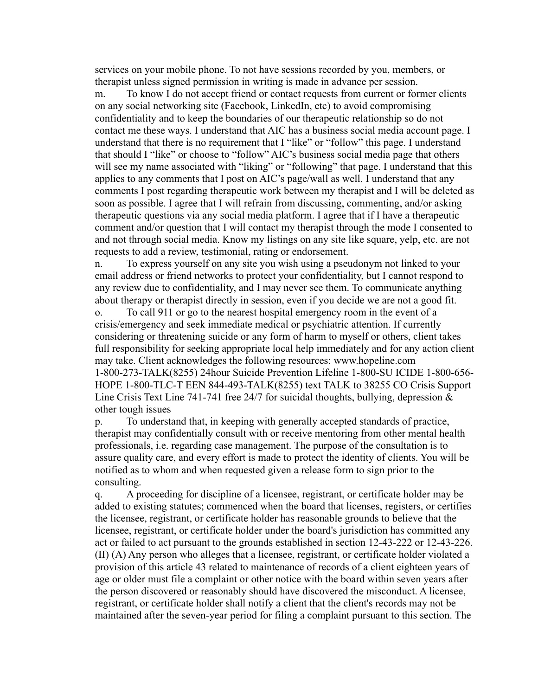services on your mobile phone. To not have sessions recorded by you, members, or therapist unless signed permission in writing is made in advance per session.

m. To know I do not accept friend or contact requests from current or former clients on any social networking site (Facebook, LinkedIn, etc) to avoid compromising confidentiality and to keep the boundaries of our therapeutic relationship so do not contact me these ways. I understand that AIC has a business social media account page. I understand that there is no requirement that I "like" or "follow" this page. I understand that should I "like" or choose to "follow" AIC's business social media page that others will see my name associated with "liking" or "following" that page. I understand that this applies to any comments that I post on AIC's page/wall as well. I understand that any comments I post regarding therapeutic work between my therapist and I will be deleted as soon as possible. I agree that I will refrain from discussing, commenting, and/or asking therapeutic questions via any social media platform. I agree that if I have a therapeutic comment and/or question that I will contact my therapist through the mode I consented to and not through social media. Know my listings on any site like square, yelp, etc. are not requests to add a review, testimonial, rating or endorsement.

n. To express yourself on any site you wish using a pseudonym not linked to your email address or friend networks to protect your confidentiality, but I cannot respond to any review due to confidentiality, and I may never see them. To communicate anything about therapy or therapist directly in session, even if you decide we are not a good fit.

o. To call 911 or go to the nearest hospital emergency room in the event of a crisis/emergency and seek immediate medical or psychiatric attention. If currently considering or threatening suicide or any form of harm to myself or others, client takes full responsibility for seeking appropriate local help immediately and for any action client may take. Client acknowledges the following resources: www.hopeline.com 1-800-273-TALK(8255) 24hour Suicide Prevention Lifeline 1-800-SU ICIDE 1-800-656- HOPE 1-800-TLC-T EEN 844-493-TALK(8255) text TALK to 38255 CO Crisis Support Line Crisis Text Line 741-741 free 24/7 for suicidal thoughts, bullying, depression  $\&$ other tough issues

p. To understand that, in keeping with generally accepted standards of practice, therapist may confidentially consult with or receive mentoring from other mental health professionals, i.e. regarding case management. The purpose of the consultation is to assure quality care, and every effort is made to protect the identity of clients. You will be notified as to whom and when requested given a release form to sign prior to the consulting.

q. A proceeding for discipline of a licensee, registrant, or certificate holder may be added to existing statutes; commenced when the board that licenses, registers, or certifies the licensee, registrant, or certificate holder has reasonable grounds to believe that the licensee, registrant, or certificate holder under the board's jurisdiction has committed any act or failed to act pursuant to the grounds established in section 12-43-222 or 12-43-226. (II) (A) Any person who alleges that a licensee, registrant, or certificate holder violated a provision of this article 43 related to maintenance of records of a client eighteen years of age or older must file a complaint or other notice with the board within seven years after the person discovered or reasonably should have discovered the misconduct. A licensee, registrant, or certificate holder shall notify a client that the client's records may not be maintained after the seven-year period for filing a complaint pursuant to this section. The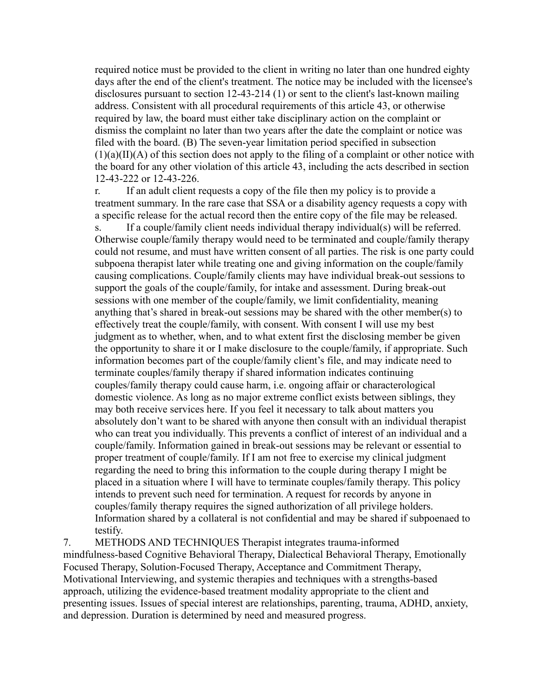required notice must be provided to the client in writing no later than one hundred eighty days after the end of the client's treatment. The notice may be included with the licensee's disclosures pursuant to section 12-43-214 (1) or sent to the client's last-known mailing address. Consistent with all procedural requirements of this article 43, or otherwise required by law, the board must either take disciplinary action on the complaint or dismiss the complaint no later than two years after the date the complaint or notice was filed with the board. (B) The seven-year limitation period specified in subsection  $(1)(a)(II)(A)$  of this section does not apply to the filing of a complaint or other notice with the board for any other violation of this article 43, including the acts described in section 12-43-222 or 12-43-226.

r. If an adult client requests a copy of the file then my policy is to provide a treatment summary. In the rare case that SSA or a disability agency requests a copy with a specific release for the actual record then the entire copy of the file may be released.

s. If a couple/family client needs individual therapy individual(s) will be referred. Otherwise couple/family therapy would need to be terminated and couple/family therapy could not resume, and must have written consent of all parties. The risk is one party could subpoena therapist later while treating one and giving information on the couple/family causing complications. Couple/family clients may have individual break-out sessions to support the goals of the couple/family, for intake and assessment. During break-out sessions with one member of the couple/family, we limit confidentiality, meaning anything that's shared in break-out sessions may be shared with the other member(s) to effectively treat the couple/family, with consent. With consent I will use my best judgment as to whether, when, and to what extent first the disclosing member be given the opportunity to share it or I make disclosure to the couple/family, if appropriate. Such information becomes part of the couple/family client's file, and may indicate need to terminate couples/family therapy if shared information indicates continuing couples/family therapy could cause harm, i.e. ongoing affair or characterological domestic violence. As long as no major extreme conflict exists between siblings, they may both receive services here. If you feel it necessary to talk about matters you absolutely don't want to be shared with anyone then consult with an individual therapist who can treat you individually. This prevents a conflict of interest of an individual and a couple/family. Information gained in break-out sessions may be relevant or essential to proper treatment of couple/family. If I am not free to exercise my clinical judgment regarding the need to bring this information to the couple during therapy I might be placed in a situation where I will have to terminate couples/family therapy. This policy intends to prevent such need for termination. A request for records by anyone in couples/family therapy requires the signed authorization of all privilege holders. Information shared by a collateral is not confidential and may be shared if subpoenaed to testify.

7. METHODS AND TECHNIQUES Therapist integrates trauma-informed mindfulness-based Cognitive Behavioral Therapy, Dialectical Behavioral Therapy, Emotionally Focused Therapy, Solution-Focused Therapy, Acceptance and Commitment Therapy, Motivational Interviewing, and systemic therapies and techniques with a strengths-based approach, utilizing the evidence-based treatment modality appropriate to the client and presenting issues. Issues of special interest are relationships, parenting, trauma, ADHD, anxiety, and depression. Duration is determined by need and measured progress.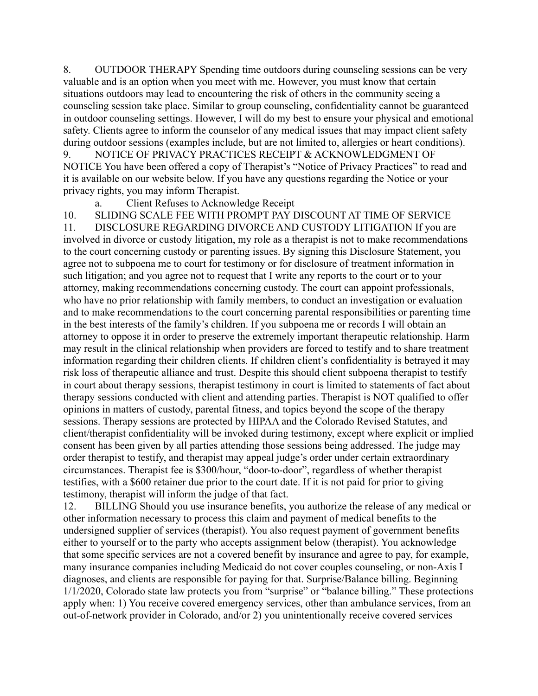8. OUTDOOR THERAPY Spending time outdoors during counseling sessions can be very valuable and is an option when you meet with me. However, you must know that certain situations outdoors may lead to encountering the risk of others in the community seeing a counseling session take place. Similar to group counseling, confidentiality cannot be guaranteed in outdoor counseling settings. However, I will do my best to ensure your physical and emotional safety. Clients agree to inform the counselor of any medical issues that may impact client safety during outdoor sessions (examples include, but are not limited to, allergies or heart conditions).

9. NOTICE OF PRIVACY PRACTICES RECEIPT & ACKNOWLEDGMENT OF NOTICE You have been offered a copy of Therapist's "Notice of Privacy Practices" to read and it is available on our website below. If you have any questions regarding the Notice or your privacy rights, you may inform Therapist.

a. Client Refuses to Acknowledge Receipt

10. SLIDING SCALE FEE WITH PROMPT PAY DISCOUNT AT TIME OF SERVICE 11. DISCLOSURE REGARDING DIVORCE AND CUSTODY LITIGATION If you are involved in divorce or custody litigation, my role as a therapist is not to make recommendations to the court concerning custody or parenting issues. By signing this Disclosure Statement, you agree not to subpoena me to court for testimony or for disclosure of treatment information in such litigation; and you agree not to request that I write any reports to the court or to your attorney, making recommendations concerning custody. The court can appoint professionals, who have no prior relationship with family members, to conduct an investigation or evaluation and to make recommendations to the court concerning parental responsibilities or parenting time in the best interests of the family's children. If you subpoena me or records I will obtain an attorney to oppose it in order to preserve the extremely important therapeutic relationship. Harm may result in the clinical relationship when providers are forced to testify and to share treatment information regarding their children clients. If children client's confidentiality is betrayed it may risk loss of therapeutic alliance and trust. Despite this should client subpoena therapist to testify in court about therapy sessions, therapist testimony in court is limited to statements of fact about therapy sessions conducted with client and attending parties. Therapist is NOT qualified to offer opinions in matters of custody, parental fitness, and topics beyond the scope of the therapy sessions. Therapy sessions are protected by HIPAA and the Colorado Revised Statutes, and client/therapist confidentiality will be invoked during testimony, except where explicit or implied consent has been given by all parties attending those sessions being addressed. The judge may order therapist to testify, and therapist may appeal judge's order under certain extraordinary circumstances. Therapist fee is \$300/hour, "door-to-door", regardless of whether therapist testifies, with a \$600 retainer due prior to the court date. If it is not paid for prior to giving testimony, therapist will inform the judge of that fact.

12. BILLING Should you use insurance benefits, you authorize the release of any medical or other information necessary to process this claim and payment of medical benefits to the undersigned supplier of services (therapist). You also request payment of government benefits either to yourself or to the party who accepts assignment below (therapist). You acknowledge that some specific services are not a covered benefit by insurance and agree to pay, for example, many insurance companies including Medicaid do not cover couples counseling, or non-Axis I diagnoses, and clients are responsible for paying for that. Surprise/Balance billing. Beginning 1/1/2020, Colorado state law protects you from "surprise" or "balance billing." These protections apply when: 1) You receive covered emergency services, other than ambulance services, from an out-of-network provider in Colorado, and/or 2) you unintentionally receive covered services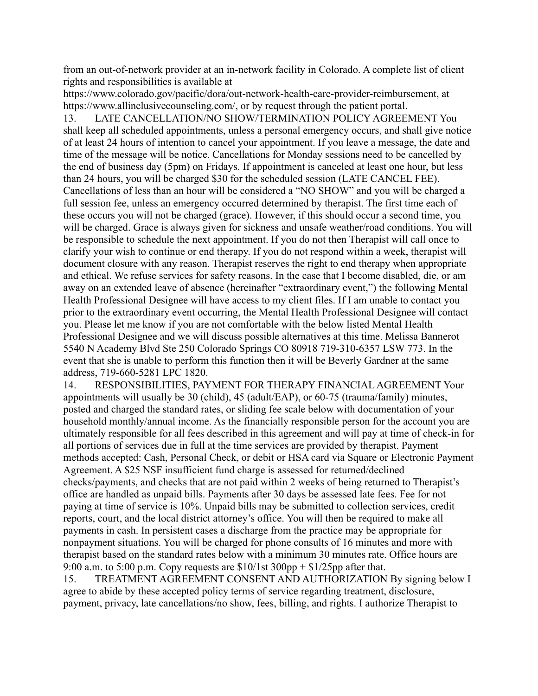from an out-of-network provider at an in-network facility in Colorado. A complete list of client rights and responsibilities is available at

https://www.colorado.gov/pacific/dora/out-network-health-care-provider-reimbursement, at https://www.allinclusivecounseling.com/, or by request through the patient portal.

13. LATE CANCELLATION/NO SHOW/TERMINATION POLICY AGREEMENT You shall keep all scheduled appointments, unless a personal emergency occurs, and shall give notice of at least 24 hours of intention to cancel your appointment. If you leave a message, the date and time of the message will be notice. Cancellations for Monday sessions need to be cancelled by the end of business day (5pm) on Fridays. If appointment is canceled at least one hour, but less than 24 hours, you will be charged \$30 for the scheduled session (LATE CANCEL FEE). Cancellations of less than an hour will be considered a "NO SHOW" and you will be charged a full session fee, unless an emergency occurred determined by therapist. The first time each of these occurs you will not be charged (grace). However, if this should occur a second time, you will be charged. Grace is always given for sickness and unsafe weather/road conditions. You will be responsible to schedule the next appointment. If you do not then Therapist will call once to clarify your wish to continue or end therapy. If you do not respond within a week, therapist will document closure with any reason. Therapist reserves the right to end therapy when appropriate and ethical. We refuse services for safety reasons. In the case that I become disabled, die, or am away on an extended leave of absence (hereinafter "extraordinary event,") the following Mental Health Professional Designee will have access to my client files. If I am unable to contact you prior to the extraordinary event occurring, the Mental Health Professional Designee will contact you. Please let me know if you are not comfortable with the below listed Mental Health Professional Designee and we will discuss possible alternatives at this time. Melissa Bannerot 5540 N Academy Blvd Ste 250 Colorado Springs CO 80918 719-310-6357 LSW 773. In the event that she is unable to perform this function then it will be Beverly Gardner at the same address, 719-660-5281 LPC 1820.

14. RESPONSIBILITIES, PAYMENT FOR THERAPY FINANCIAL AGREEMENT Your appointments will usually be 30 (child), 45 (adult/EAP), or 60-75 (trauma/family) minutes, posted and charged the standard rates, or sliding fee scale below with documentation of your household monthly/annual income. As the financially responsible person for the account you are ultimately responsible for all fees described in this agreement and will pay at time of check-in for all portions of services due in full at the time services are provided by therapist. Payment methods accepted: Cash, Personal Check, or debit or HSA card via Square or Electronic Payment Agreement. A \$25 NSF insufficient fund charge is assessed for returned/declined checks/payments, and checks that are not paid within 2 weeks of being returned to Therapist's office are handled as unpaid bills. Payments after 30 days be assessed late fees. Fee for not paying at time of service is 10%. Unpaid bills may be submitted to collection services, credit reports, court, and the local district attorney's office. You will then be required to make all payments in cash. In persistent cases a discharge from the practice may be appropriate for nonpayment situations. You will be charged for phone consults of 16 minutes and more with therapist based on the standard rates below with a minimum 30 minutes rate. Office hours are 9:00 a.m. to 5:00 p.m. Copy requests are  $$10/1st 300pp + $1/25pp$  after that.

15. TREATMENT AGREEMENT CONSENT AND AUTHORIZATION By signing below I agree to abide by these accepted policy terms of service regarding treatment, disclosure, payment, privacy, late cancellations/no show, fees, billing, and rights. I authorize Therapist to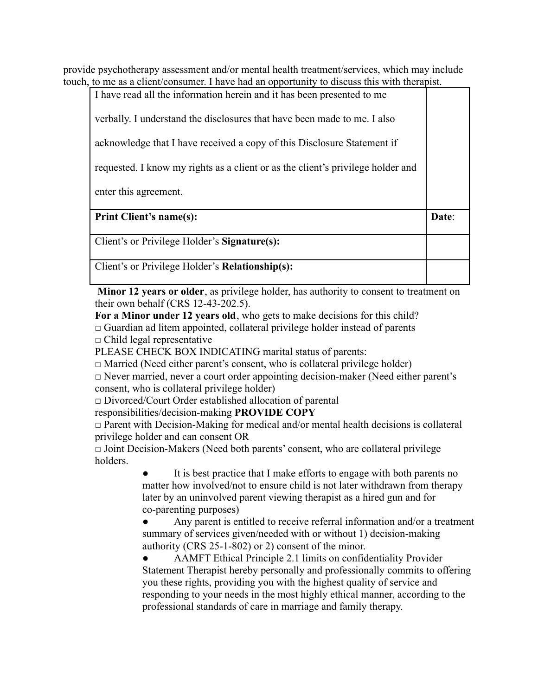provide psychotherapy assessment and/or mental health treatment/services, which may include touch, to me as a client/consumer. I have had an opportunity to discuss this with therapist.

| I have read all the information herein and it has been presented to me          |       |
|---------------------------------------------------------------------------------|-------|
| verbally. I understand the disclosures that have been made to me. I also        |       |
| acknowledge that I have received a copy of this Disclosure Statement if         |       |
| requested. I know my rights as a client or as the client's privilege holder and |       |
| enter this agreement.                                                           |       |
| <b>Print Client's name(s):</b>                                                  | Date: |
| Client's or Privilege Holder's <b>Signature(s):</b>                             |       |
|                                                                                 |       |

**Minor 12 years or older**, as privilege holder, has authority to consent to treatment on their own behalf (CRS 12-43-202.5).

**For a Minor under 12 years old**, who gets to make decisions for this child?

 $\Box$  Guardian ad litem appointed, collateral privilege holder instead of parents  $\Box$  Child legal representative

PLEASE CHECK BOX INDICATING marital status of parents:

 $\Box$  Married (Need either parent's consent, who is collateral privilege holder)

□ Never married, never a court order appointing decision-maker (Need either parent's consent, who is collateral privilege holder)

□ Divorced/Court Order established allocation of parental

responsibilities/decision-making **PROVIDE COPY**

 $\Box$  Parent with Decision-Making for medical and/or mental health decisions is collateral privilege holder and can consent OR

 $\Box$  Joint Decision-Makers (Need both parents' consent, who are collateral privilege holders.

It is best practice that I make efforts to engage with both parents no matter how involved/not to ensure child is not later withdrawn from therapy later by an uninvolved parent viewing therapist as a hired gun and for co-parenting purposes)

Any parent is entitled to receive referral information and/or a treatment summary of services given/needed with or without 1) decision-making authority (CRS 25-1-802) or 2) consent of the minor.

● AAMFT Ethical Principle 2.1 limits on confidentiality Provider Statement Therapist hereby personally and professionally commits to offering you these rights, providing you with the highest quality of service and responding to your needs in the most highly ethical manner, according to the professional standards of care in marriage and family therapy.